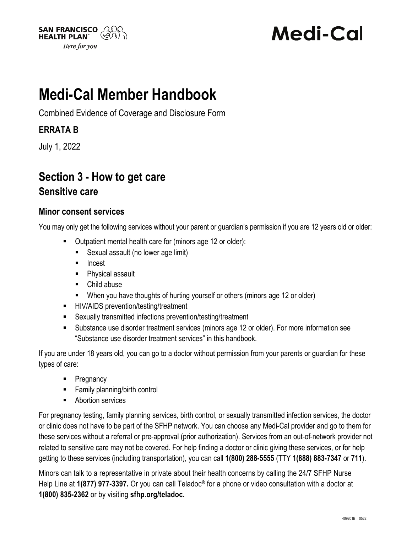

# **Medi-Cal**

## **Medi-Cal Member Handbook**

Combined Evidence of Coverage and Disclosure Form

### **ERRATA B**

July 1, 2022

## **Section 3 - How to get care**

#### **Sensitive care**

#### **Minor consent services**

You may only get the following services without your parent or guardian's permission if you are 12 years old or older:

- Outpatient mental health care for (minors age 12 or older):
	- Sexual assault (no lower age limit)
	- Incest
	- **Physical assault**
	- Child abuse
	- When you have thoughts of hurting yourself or others (minors age 12 or older)
- HIV/AIDS prevention/testing/treatment
- Sexually transmitted infections prevention/testing/treatment
- Substance use disorder treatment services (minors age 12 or older). For more information see "Substance use disorder treatment services" in this handbook.

If you are under 18 years old, you can go to a doctor without permission from your parents or guardian for these types of care:

- Pregnancy
- Family planning/birth control
- **Abortion services**

For pregnancy testing, family planning services, birth control, or sexually transmitted infection services, the doctor or clinic does not have to be part of the SFHP network. You can choose any Medi-Cal provider and go to them for these services without a referral or pre-approval (prior authorization). Services from an out-of-network provider not related to sensitive care may not be covered. For help finding a doctor or clinic giving these services, or for help getting to these services (including transportation), you can call **1(800) 288-5555** (TTY **1(888) 883-7347** or **711**).

Minors can talk to a representative in private about their health concerns by calling the 24/7 SFHP Nurse Help Line at **1(877) 977-3397.** Or you can call Teladoc® for a phone or video consultation with a doctor at **1(800) 835-2362** or by visiting **sfhp.org/teladoc.**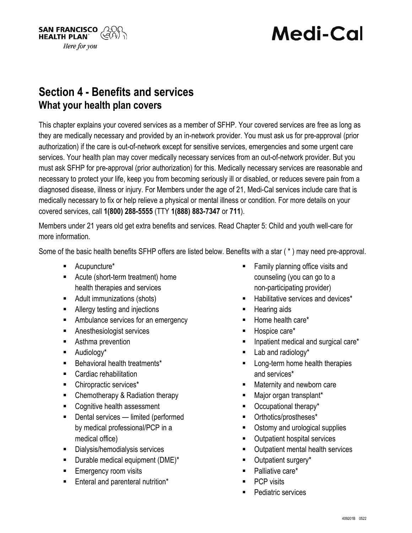

# **Medi-Cal**

### **Section 4 - Benefits and services What your health plan covers**

This chapter explains your covered services as a member of SFHP. Your covered services are free as long as they are medically necessary and provided by an in-network provider. You must ask us for pre-approval (prior authorization) if the care is out-of-network except for sensitive services, emergencies and some urgent care services. Your health plan may cover medically necessary services from an out-of-network provider. But you must ask SFHP for pre-approval (prior authorization) for this. Medically necessary services are reasonable and necessary to protect your life, keep you from becoming seriously ill or disabled, or reduces severe pain from a diagnosed disease, illness or injury. For Members under the age of 21, Medi-Cal services include care that is medically necessary to fix or help relieve a physical or mental illness or condition. For more details on your covered services, call **1(800) 288-5555** (TTY **1(888) 883-7347** or **711**).

Members under 21 years old get extra benefits and services. Read Chapter 5: Child and youth well-care for more information.

Some of the basic health benefits SFHP offers are listed below. Benefits with a star ( \* ) may need pre-approval.

- Acupuncture\*
- Acute (short-term treatment) home health therapies and services
- Adult immunizations (shots)
- **Allergy testing and injections**
- **EXECUTE:** Ambulance services for an emergency
- Anesthesiologist services
- **Asthma prevention**
- Audiology\*
- **Behavioral health treatments\***
- **EXEC** Cardiac rehabilitation
- Chiropractic services<sup>\*</sup>
- Chemotherapy & Radiation therapy
- Cognitive health assessment
- Dental services limited (performed by medical professional/PCP in a medical office)
- **Dialysis/hemodialysis services**
- $\blacksquare$  Durable medical equipment (DME)\*
- **Emergency room visits**
- Enteral and parenteral nutrition\*
- **Family planning office visits and** counseling (you can go to a non-participating provider)
- Habilitative services and devices\*
- Hearing aids
- Home health care\*
- Hospice care\*
- Inpatient medical and surgical care\*
- **Lab and radiology\***
- Long-term home health therapies and services\*
- Maternity and newborn care
- Major organ transplant\*
- Occupational therapy\*
- Orthotics/prostheses\*
- Ostomy and urological supplies
- Outpatient hospital services
- Outpatient mental health services
- **Dutpatient surgery\***
- Palliative care\*
- PCP visits
- Pediatric services